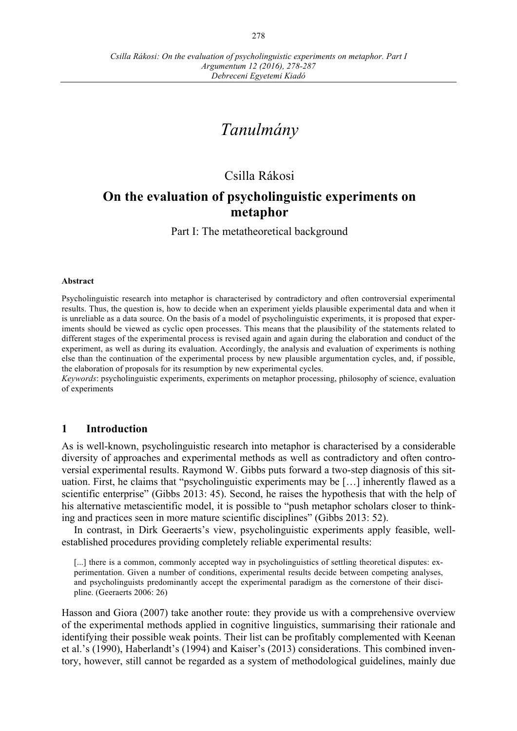# *Tanulmány*

# Csilla Rákosi

## **On the evaluation of psycholinguistic experiments on metaphor**

Part I: The metatheoretical background

#### **Abstract**

Psycholinguistic research into metaphor is characterised by contradictory and often controversial experimental results. Thus, the question is, how to decide when an experiment yields plausible experimental data and when it is unreliable as a data source. On the basis of a model of psycholinguistic experiments, it is proposed that experiments should be viewed as cyclic open processes. This means that the plausibility of the statements related to different stages of the experimental process is revised again and again during the elaboration and conduct of the experiment, as well as during its evaluation. Accordingly, the analysis and evaluation of experiments is nothing else than the continuation of the experimental process by new plausible argumentation cycles, and, if possible, the elaboration of proposals for its resumption by new experimental cycles.

*Keywords*: psycholinguistic experiments, experiments on metaphor processing, philosophy of science, evaluation of experiments

### **1 Introduction**

As is well-known, psycholinguistic research into metaphor is characterised by a considerable diversity of approaches and experimental methods as well as contradictory and often controversial experimental results. Raymond W. Gibbs puts forward a two-step diagnosis of this situation. First, he claims that "psycholinguistic experiments may be […] inherently flawed as a scientific enterprise" (Gibbs 2013: 45). Second, he raises the hypothesis that with the help of his alternative metascientific model, it is possible to "push metaphor scholars closer to thinking and practices seen in more mature scientific disciplines" (Gibbs 2013: 52).

In contrast, in Dirk Geeraerts's view, psycholinguistic experiments apply feasible, wellestablished procedures providing completely reliable experimental results:

[...] there is a common, commonly accepted way in psycholinguistics of settling theoretical disputes: experimentation. Given a number of conditions, experimental results decide between competing analyses, and psycholinguists predominantly accept the experimental paradigm as the cornerstone of their discipline. (Geeraerts 2006: 26)

Hasson and Giora (2007) take another route: they provide us with a comprehensive overview of the experimental methods applied in cognitive linguistics, summarising their rationale and identifying their possible weak points. Their list can be profitably complemented with Keenan et al.'s (1990), Haberlandt's (1994) and Kaiser's (2013) considerations. This combined inventory, however, still cannot be regarded as a system of methodological guidelines, mainly due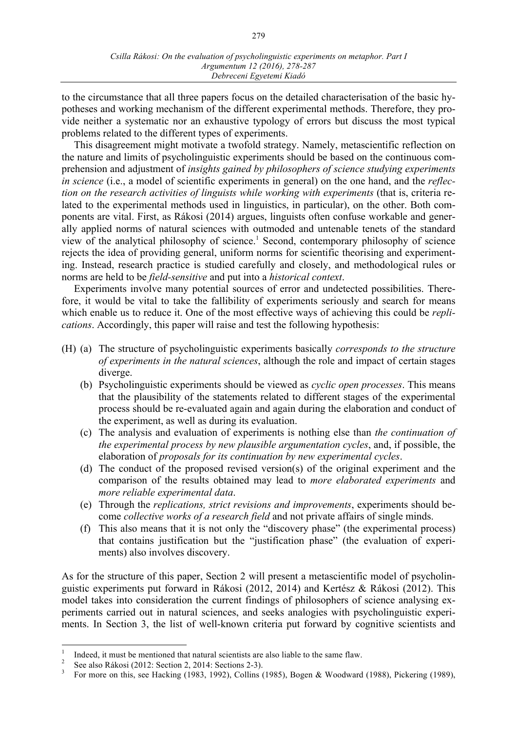to the circumstance that all three papers focus on the detailed characterisation of the basic hypotheses and working mechanism of the different experimental methods. Therefore, they provide neither a systematic nor an exhaustive typology of errors but discuss the most typical problems related to the different types of experiments.

This disagreement might motivate a twofold strategy. Namely, metascientific reflection on the nature and limits of psycholinguistic experiments should be based on the continuous comprehension and adjustment of *insights gained by philosophers of science studying experiments in science* (i.e., a model of scientific experiments in general) on the one hand, and the *reflection on the research activities of linguists while working with experiments* (that is, criteria related to the experimental methods used in linguistics, in particular), on the other. Both components are vital. First, as Rákosi (2014) argues, linguists often confuse workable and generally applied norms of natural sciences with outmoded and untenable tenets of the standard view of the analytical philosophy of science.1 Second, contemporary philosophy of science rejects the idea of providing general, uniform norms for scientific theorising and experimenting. Instead, research practice is studied carefully and closely, and methodological rules or norms are held to be *field-sensitive* and put into a *historical context*.

Experiments involve many potential sources of error and undetected possibilities. Therefore, it would be vital to take the fallibility of experiments seriously and search for means which enable us to reduce it. One of the most effective ways of achieving this could be *replications*. Accordingly, this paper will raise and test the following hypothesis:

- (H) (a) The structure of psycholinguistic experiments basically *corresponds to the structure of experiments in the natural sciences*, although the role and impact of certain stages diverge.
	- (b) Psycholinguistic experiments should be viewed as *cyclic open processes*. This means that the plausibility of the statements related to different stages of the experimental process should be re-evaluated again and again during the elaboration and conduct of the experiment, as well as during its evaluation.
	- (c) The analysis and evaluation of experiments is nothing else than *the continuation of the experimental process by new plausible argumentation cycles*, and, if possible, the elaboration of *proposals for its continuation by new experimental cycles*.
	- (d) The conduct of the proposed revised version(s) of the original experiment and the comparison of the results obtained may lead to *more elaborated experiments* and *more reliable experimental data*.
	- (e) Through the *replications, strict revisions and improvements*, experiments should become *collective works of a research field* and not private affairs of single minds.
	- (f) This also means that it is not only the "discovery phase" (the experimental process) that contains justification but the "justification phase" (the evaluation of experiments) also involves discovery.

As for the structure of this paper, Section 2 will present a metascientific model of psycholinguistic experiments put forward in Rákosi (2012, 2014) and Kertész & Rákosi (2012). This model takes into consideration the current findings of philosophers of science analysing experiments carried out in natural sciences, and seeks analogies with psycholinguistic experiments. In Section 3, the list of well-known criteria put forward by cognitive scientists and

Indeed, it must be mentioned that natural scientists are also liable to the same flaw.<br>
See also Rákosi (2012: Section 2, 2014: Sections 2-3).<br>
For more on this, see Hacking (1983, 1992), Collins (1985), Bogen & Woodward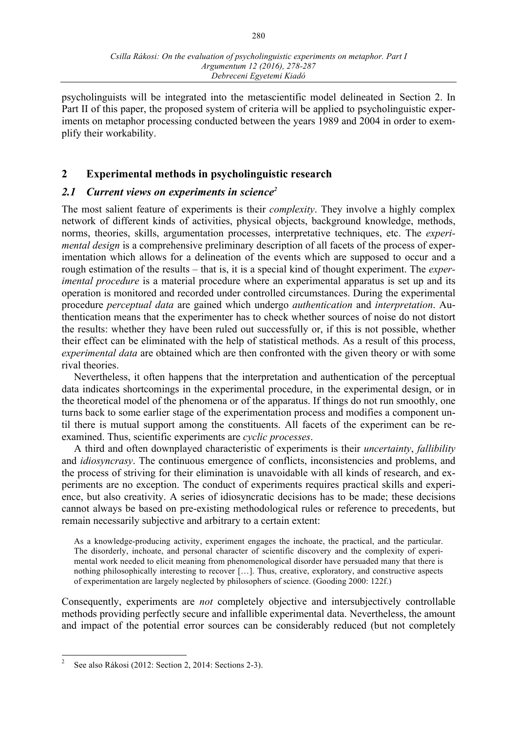psycholinguists will be integrated into the metascientific model delineated in Section 2. In Part II of this paper, the proposed system of criteria will be applied to psycholinguistic experiments on metaphor processing conducted between the years 1989 and 2004 in order to exemplify their workability.

## **2 Experimental methods in psycholinguistic research**

## *2.1 Current views on experiments in science2*

The most salient feature of experiments is their *complexity*. They involve a highly complex network of different kinds of activities, physical objects, background knowledge, methods, norms, theories, skills, argumentation processes, interpretative techniques, etc. The *experimental design* is a comprehensive preliminary description of all facets of the process of experimentation which allows for a delineation of the events which are supposed to occur and a rough estimation of the results – that is, it is a special kind of thought experiment. The *experimental procedure* is a material procedure where an experimental apparatus is set up and its operation is monitored and recorded under controlled circumstances. During the experimental procedure *perceptual data* are gained which undergo *authentication* and *interpretation*. Authentication means that the experimenter has to check whether sources of noise do not distort the results: whether they have been ruled out successfully or, if this is not possible, whether their effect can be eliminated with the help of statistical methods. As a result of this process, *experimental data* are obtained which are then confronted with the given theory or with some rival theories.

Nevertheless, it often happens that the interpretation and authentication of the perceptual data indicates shortcomings in the experimental procedure, in the experimental design, or in the theoretical model of the phenomena or of the apparatus. If things do not run smoothly, one turns back to some earlier stage of the experimentation process and modifies a component until there is mutual support among the constituents. All facets of the experiment can be reexamined. Thus, scientific experiments are *cyclic processes*.

A third and often downplayed characteristic of experiments is their *uncertainty*, *fallibility* and *idiosyncrasy*. The continuous emergence of conflicts, inconsistencies and problems, and the process of striving for their elimination is unavoidable with all kinds of research, and experiments are no exception. The conduct of experiments requires practical skills and experience, but also creativity. A series of idiosyncratic decisions has to be made; these decisions cannot always be based on pre-existing methodological rules or reference to precedents, but remain necessarily subjective and arbitrary to a certain extent:

As a knowledge-producing activity, experiment engages the inchoate, the practical, and the particular. The disorderly, inchoate, and personal character of scientific discovery and the complexity of experimental work needed to elicit meaning from phenomenological disorder have persuaded many that there is nothing philosophically interesting to recover […]. Thus, creative, exploratory, and constructive aspects of experimentation are largely neglected by philosophers of science. (Gooding 2000: 122f.)

Consequently, experiments are *not* completely objective and intersubjectively controllable methods providing perfectly secure and infallible experimental data. Nevertheless, the amount and impact of the potential error sources can be considerably reduced (but not completely

 <sup>2</sup> See also Rákosi (2012: Section 2, 2014: Sections 2-3).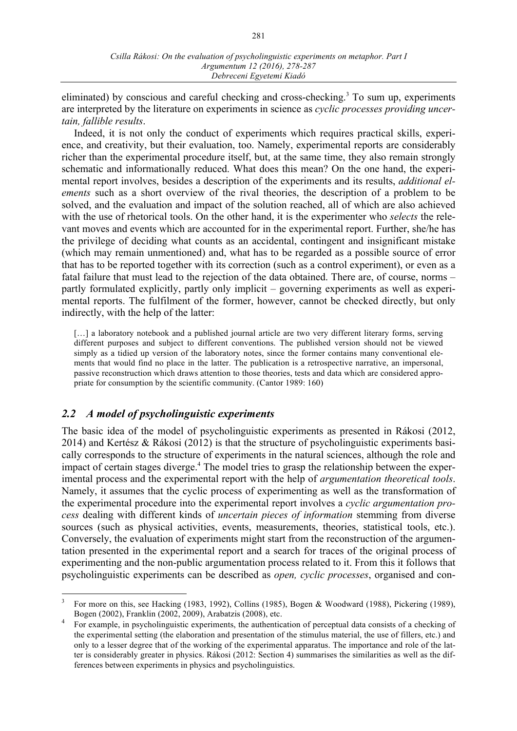eliminated) by conscious and careful checking and cross-checking.3 To sum up, experiments are interpreted by the literature on experiments in science as *cyclic processes providing uncertain, fallible results*.

Indeed, it is not only the conduct of experiments which requires practical skills, experience, and creativity, but their evaluation, too. Namely, experimental reports are considerably richer than the experimental procedure itself, but, at the same time, they also remain strongly schematic and informationally reduced. What does this mean? On the one hand, the experimental report involves, besides a description of the experiments and its results, *additional elements* such as a short overview of the rival theories, the description of a problem to be solved, and the evaluation and impact of the solution reached, all of which are also achieved with the use of rhetorical tools. On the other hand, it is the experimenter who *selects* the relevant moves and events which are accounted for in the experimental report. Further, she/he has the privilege of deciding what counts as an accidental, contingent and insignificant mistake (which may remain unmentioned) and, what has to be regarded as a possible source of error that has to be reported together with its correction (such as a control experiment), or even as a fatal failure that must lead to the rejection of the data obtained. There are, of course, norms – partly formulated explicitly, partly only implicit – governing experiments as well as experimental reports. The fulfilment of the former, however, cannot be checked directly, but only indirectly, with the help of the latter:

[...] a laboratory notebook and a published journal article are two very different literary forms, serving different purposes and subject to different conventions. The published version should not be viewed simply as a tidied up version of the laboratory notes, since the former contains many conventional elements that would find no place in the latter. The publication is a retrospective narrative, an impersonal, passive reconstruction which draws attention to those theories, tests and data which are considered appropriate for consumption by the scientific community. (Cantor 1989: 160)

## *2.2 A model of psycholinguistic experiments*

The basic idea of the model of psycholinguistic experiments as presented in Rákosi (2012, 2014) and Kertész & Rákosi (2012) is that the structure of psycholinguistic experiments basically corresponds to the structure of experiments in the natural sciences, although the role and impact of certain stages diverge.<sup>4</sup> The model tries to grasp the relationship between the experimental process and the experimental report with the help of *argumentation theoretical tools*. Namely, it assumes that the cyclic process of experimenting as well as the transformation of the experimental procedure into the experimental report involves a *cyclic argumentation process* dealing with different kinds of *uncertain pieces of information* stemming from diverse sources (such as physical activities, events, measurements, theories, statistical tools, etc.). Conversely, the evaluation of experiments might start from the reconstruction of the argumentation presented in the experimental report and a search for traces of the original process of experimenting and the non-public argumentation process related to it. From this it follows that psycholinguistic experiments can be described as *open, cyclic processes*, organised and con-

 <sup>3</sup> For more on this, see Hacking (1983, 1992), Collins (1985), Bogen & Woodward (1988), Pickering (1989), Bogen (2002), Franklin (2002, 2009), Arabatzis (2008), etc.

<sup>4</sup> For example, in psycholinguistic experiments, the authentication of perceptual data consists of a checking of the experimental setting (the elaboration and presentation of the stimulus material, the use of fillers, etc.) and only to a lesser degree that of the working of the experimental apparatus. The importance and role of the latter is considerably greater in physics. Rákosi (2012: Section 4) summarises the similarities as well as the differences between experiments in physics and psycholinguistics.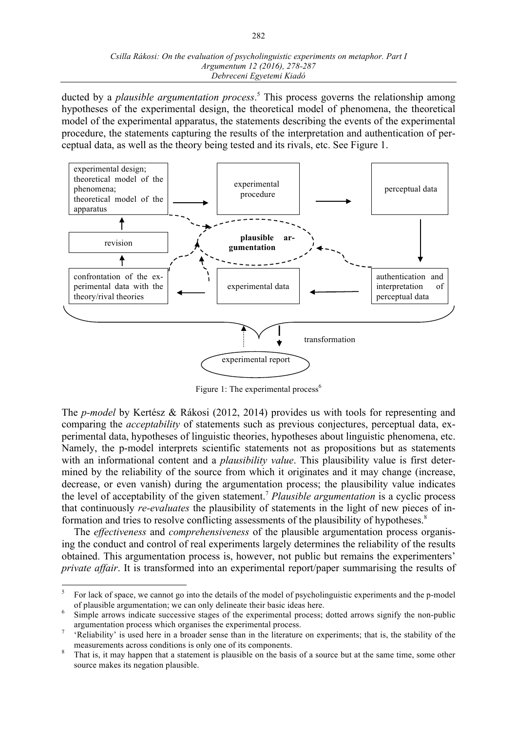#### *Csilla Rákosi: On the evaluation of psycholinguistic experiments on metaphor. Part I Argumentum 12 (2016), 278-287 Debreceni Egyetemi Kiadó*

ducted by a *plausible argumentation process*. <sup>5</sup> This process governs the relationship among hypotheses of the experimental design, the theoretical model of phenomena, the theoretical model of the experimental apparatus, the statements describing the events of the experimental procedure, the statements capturing the results of the interpretation and authentication of perceptual data, as well as the theory being tested and its rivals, etc. See Figure 1.



Figure 1: The experimental process<sup>6</sup>

The *p-model* by Kertész & Rákosi (2012, 2014) provides us with tools for representing and comparing the *acceptability* of statements such as previous conjectures, perceptual data, experimental data, hypotheses of linguistic theories, hypotheses about linguistic phenomena, etc. Namely, the p-model interprets scientific statements not as propositions but as statements with an informational content and a *plausibility value*. This plausibility value is first determined by the reliability of the source from which it originates and it may change (increase, decrease, or even vanish) during the argumentation process; the plausibility value indicates the level of acceptability of the given statement.7 *Plausible argumentation* is a cyclic process that continuously *re-evaluates* the plausibility of statements in the light of new pieces of information and tries to resolve conflicting assessments of the plausibility of hypotheses.<sup>8</sup>

The *effectiveness* and *comprehensiveness* of the plausible argumentation process organising the conduct and control of real experiments largely determines the reliability of the results obtained. This argumentation process is, however, not public but remains the experimenters' *private affair*. It is transformed into an experimental report/paper summarising the results of

For lack of space, we cannot go into the details of the model of psycholinguistic experiments and the p-model of plausible argumentation; we can only delineate their basic ideas here.

Simple arrows indicate successive stages of the experimental process; dotted arrows signify the non-public argumentation process which organises the experimental process.<br><sup>7</sup> 'Reliability' is used here in a broader sense than in the literature on experiments; that is, the stability of the

measurements across conditions is only one of its components.<br><sup>8</sup> That is, it may happen that a statement is plausible on the basis of a source but at the same time, some other

source makes its negation plausible.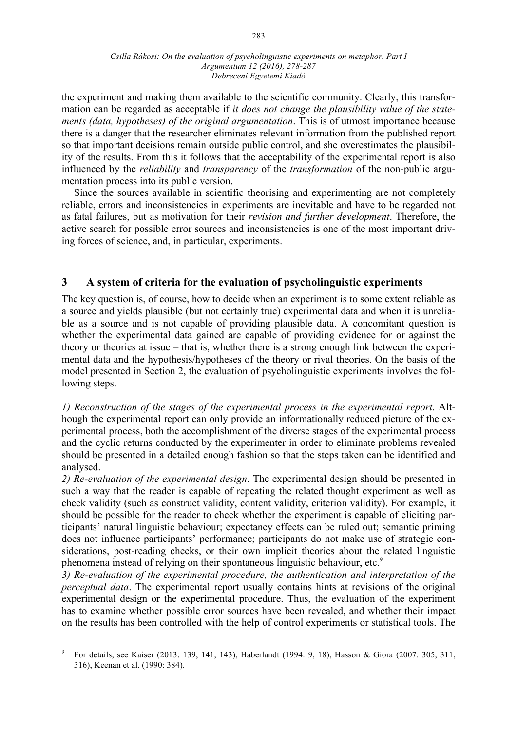the experiment and making them available to the scientific community. Clearly, this transformation can be regarded as acceptable if *it does not change the plausibility value of the statements (data, hypotheses) of the original argumentation*. This is of utmost importance because there is a danger that the researcher eliminates relevant information from the published report so that important decisions remain outside public control, and she overestimates the plausibility of the results. From this it follows that the acceptability of the experimental report is also influenced by the *reliability* and *transparency* of the *transformation* of the non-public argumentation process into its public version.

Since the sources available in scientific theorising and experimenting are not completely reliable, errors and inconsistencies in experiments are inevitable and have to be regarded not as fatal failures, but as motivation for their *revision and further development*. Therefore, the active search for possible error sources and inconsistencies is one of the most important driving forces of science, and, in particular, experiments.

## **3 A system of criteria for the evaluation of psycholinguistic experiments**

The key question is, of course, how to decide when an experiment is to some extent reliable as a source and yields plausible (but not certainly true) experimental data and when it is unreliable as a source and is not capable of providing plausible data. A concomitant question is whether the experimental data gained are capable of providing evidence for or against the theory or theories at issue – that is, whether there is a strong enough link between the experimental data and the hypothesis/hypotheses of the theory or rival theories. On the basis of the model presented in Section 2, the evaluation of psycholinguistic experiments involves the following steps.

*1) Reconstruction of the stages of the experimental process in the experimental report*. Although the experimental report can only provide an informationally reduced picture of the experimental process, both the accomplishment of the diverse stages of the experimental process and the cyclic returns conducted by the experimenter in order to eliminate problems revealed should be presented in a detailed enough fashion so that the steps taken can be identified and analysed.

*2) Re-evaluation of the experimental design*. The experimental design should be presented in such a way that the reader is capable of repeating the related thought experiment as well as check validity (such as construct validity, content validity, criterion validity). For example, it should be possible for the reader to check whether the experiment is capable of eliciting participants' natural linguistic behaviour; expectancy effects can be ruled out; semantic priming does not influence participants' performance; participants do not make use of strategic considerations, post-reading checks, or their own implicit theories about the related linguistic phenomena instead of relying on their spontaneous linguistic behaviour, etc.<sup>9</sup>

*3) Re-evaluation of the experimental procedure, the authentication and interpretation of the perceptual data*. The experimental report usually contains hints at revisions of the original experimental design or the experimental procedure. Thus, the evaluation of the experiment has to examine whether possible error sources have been revealed, and whether their impact on the results has been controlled with the help of control experiments or statistical tools. The

 <sup>9</sup> For details, see Kaiser (2013: 139, 141, 143), Haberlandt (1994: 9, 18), Hasson & Giora (2007: 305, 311, 316), Keenan et al. (1990: 384).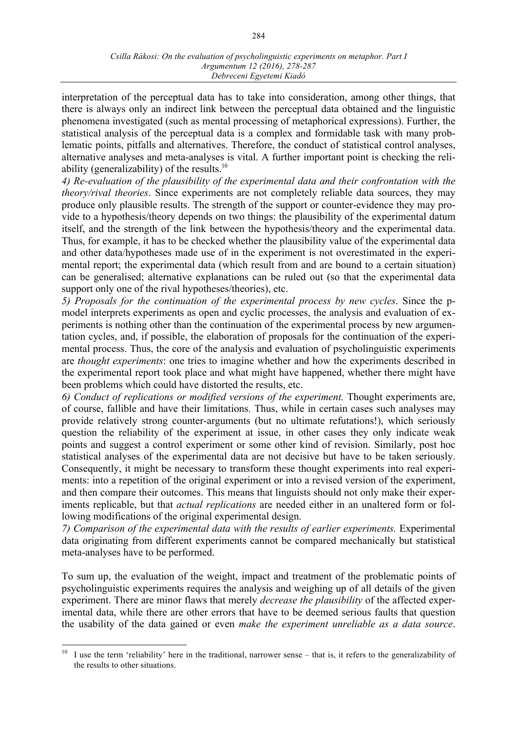interpretation of the perceptual data has to take into consideration, among other things, that there is always only an indirect link between the perceptual data obtained and the linguistic phenomena investigated (such as mental processing of metaphorical expressions). Further, the statistical analysis of the perceptual data is a complex and formidable task with many problematic points, pitfalls and alternatives. Therefore, the conduct of statistical control analyses, alternative analyses and meta-analyses is vital. A further important point is checking the reliability (generalizability) of the results. $10$ 

*4) Re-evaluation of the plausibility of the experimental data and their confrontation with the theory/rival theories*. Since experiments are not completely reliable data sources, they may produce only plausible results. The strength of the support or counter-evidence they may provide to a hypothesis/theory depends on two things: the plausibility of the experimental datum itself, and the strength of the link between the hypothesis/theory and the experimental data. Thus, for example, it has to be checked whether the plausibility value of the experimental data and other data/hypotheses made use of in the experiment is not overestimated in the experimental report; the experimental data (which result from and are bound to a certain situation) can be generalised; alternative explanations can be ruled out (so that the experimental data support only one of the rival hypotheses/theories), etc.

*5) Proposals for the continuation of the experimental process by new cycles*. Since the pmodel interprets experiments as open and cyclic processes, the analysis and evaluation of experiments is nothing other than the continuation of the experimental process by new argumentation cycles, and, if possible, the elaboration of proposals for the continuation of the experimental process. Thus, the core of the analysis and evaluation of psycholinguistic experiments are *thought experiments*: one tries to imagine whether and how the experiments described in the experimental report took place and what might have happened, whether there might have been problems which could have distorted the results, etc.

*6) Conduct of replications or modified versions of the experiment.* Thought experiments are, of course, fallible and have their limitations. Thus, while in certain cases such analyses may provide relatively strong counter-arguments (but no ultimate refutations!), which seriously question the reliability of the experiment at issue, in other cases they only indicate weak points and suggest a control experiment or some other kind of revision. Similarly, post hoc statistical analyses of the experimental data are not decisive but have to be taken seriously. Consequently, it might be necessary to transform these thought experiments into real experiments: into a repetition of the original experiment or into a revised version of the experiment, and then compare their outcomes. This means that linguists should not only make their experiments replicable, but that *actual replications* are needed either in an unaltered form or following modifications of the original experimental design.

*7) Comparison of the experimental data with the results of earlier experiments.* Experimental data originating from different experiments cannot be compared mechanically but statistical meta-analyses have to be performed.

To sum up, the evaluation of the weight, impact and treatment of the problematic points of psycholinguistic experiments requires the analysis and weighing up of all details of the given experiment. There are minor flaws that merely *decrease the plausibility* of the affected experimental data, while there are other errors that have to be deemed serious faults that question the usability of the data gained or even *make the experiment unreliable as a data source*.

<sup>&</sup>lt;sup>10</sup> I use the term 'reliability' here in the traditional, narrower sense – that is, it refers to the generalizability of the results to other situations.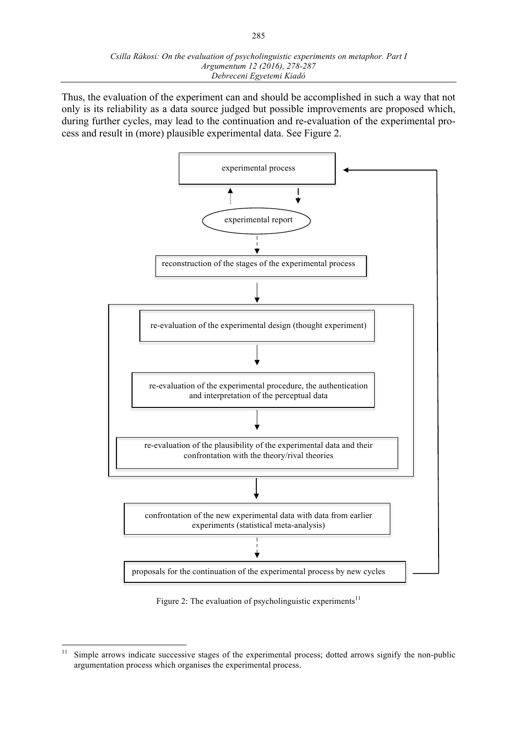Thus, the evaluation of the experiment can and should be accomplished in such a way that not only is its reliability as a data source judged but possible improvements are proposed which, during further cycles, may lead to the continuation and re-evaluation of the experimental process and result in (more) plausible experimental data. See Figure 2.



Figure 2: The evaluation of psycholinguistic experiments<sup>11</sup>

<sup>&</sup>lt;sup>11</sup> Simple arrows indicate successive stages of the experimental process; dotted arrows signify the non-public argumentation process which organises the experimental process.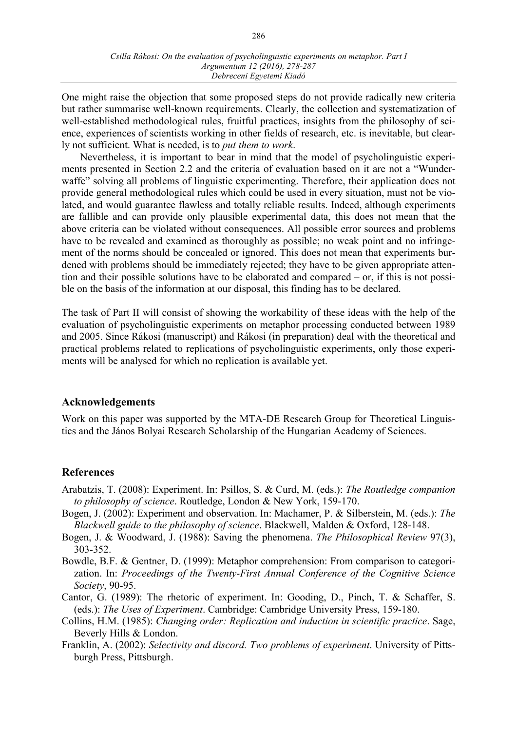One might raise the objection that some proposed steps do not provide radically new criteria but rather summarise well-known requirements. Clearly, the collection and systematization of well-established methodological rules, fruitful practices, insights from the philosophy of science, experiences of scientists working in other fields of research, etc. is inevitable, but clearly not sufficient. What is needed, is to *put them to work*.

Nevertheless, it is important to bear in mind that the model of psycholinguistic experiments presented in Section 2.2 and the criteria of evaluation based on it are not a "Wunderwaffe" solving all problems of linguistic experimenting. Therefore, their application does not provide general methodological rules which could be used in every situation, must not be violated, and would guarantee flawless and totally reliable results. Indeed, although experiments are fallible and can provide only plausible experimental data, this does not mean that the above criteria can be violated without consequences. All possible error sources and problems have to be revealed and examined as thoroughly as possible; no weak point and no infringement of the norms should be concealed or ignored. This does not mean that experiments burdened with problems should be immediately rejected; they have to be given appropriate attention and their possible solutions have to be elaborated and compared – or, if this is not possible on the basis of the information at our disposal, this finding has to be declared.

The task of Part II will consist of showing the workability of these ideas with the help of the evaluation of psycholinguistic experiments on metaphor processing conducted between 1989 and 2005. Since Rákosi (manuscript) and Rákosi (in preparation) deal with the theoretical and practical problems related to replications of psycholinguistic experiments, only those experiments will be analysed for which no replication is available yet.

### **Acknowledgements**

Work on this paper was supported by the MTA-DE Research Group for Theoretical Linguistics and the János Bolyai Research Scholarship of the Hungarian Academy of Sciences.

### **References**

- Arabatzis, T. (2008): Experiment. In: Psillos, S. & Curd, M. (eds.): *The Routledge companion to philosophy of science*. Routledge, London & New York, 159-170.
- Bogen, J. (2002): Experiment and observation. In: Machamer, P. & Silberstein, M. (eds.): *The Blackwell guide to the philosophy of science*. Blackwell, Malden & Oxford, 128-148.
- Bogen, J. & Woodward, J. (1988): Saving the phenomena. *The Philosophical Review* 97(3), 303-352.
- Bowdle, B.F. & Gentner, D. (1999): Metaphor comprehension: From comparison to categorization. In: *Proceedings of the Twenty-First Annual Conference of the Cognitive Science Society*, 90-95.
- Cantor, G. (1989): The rhetoric of experiment. In: Gooding, D., Pinch, T. & Schaffer, S. (eds.): *The Uses of Experiment*. Cambridge: Cambridge University Press, 159-180.
- Collins, H.M. (1985): *Changing order: Replication and induction in scientific practice*. Sage, Beverly Hills & London.
- Franklin, A. (2002): *Selectivity and discord. Two problems of experiment*. University of Pittsburgh Press, Pittsburgh.